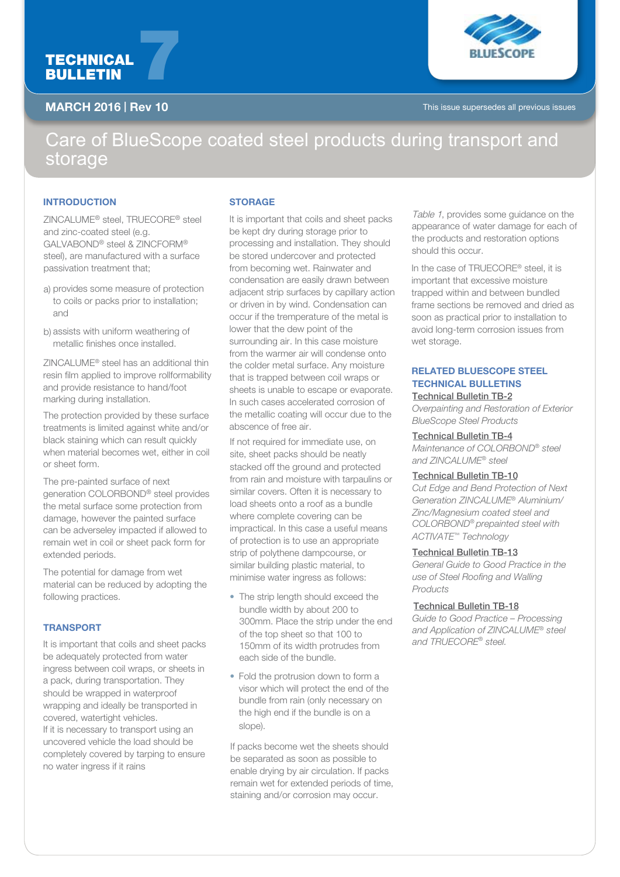# TECHNICAL TECHNICAL<br>BULLETIN



MARCH 2016 | Rev 10 This issue supersedes all previous issues

## Care of BlueScope coated steel products during transport and storage

#### **INTRODUCTION**

ZINCALUME® steel, TRUECORE® steel and zinc-coated steel (e.g. GALVABOND® steel & ZINCFORM® steel), are manufactured with a surface passivation treatment that;

- a) provides some measure of protection to coils or packs prior to installation; and
- b) assists with uniform weathering of metallic finishes once installed.

ZINCALUME® steel has an additional thin resin film applied to improve rollformability and provide resistance to hand/foot marking during installation.

The protection provided by these surface treatments is limited against white and/or black staining which can result quickly when material becomes wet, either in coil or sheet form.

The pre-painted surface of next generation COLORBOND® steel provides the metal surface some protection from damage, however the painted surface can be adverseley impacted if allowed to remain wet in coil or sheet pack form for extended periods.

The potential for damage from wet material can be reduced by adopting the following practices.

### TRANSPORT

It is important that coils and sheet packs be adequately protected from water ingress between coil wraps, or sheets in a pack, during transportation. They should be wrapped in waterproof wrapping and ideally be transported in covered, watertight vehicles. If it is necessary to transport using an uncovered vehicle the load should be completely covered by tarping to ensure no water ingress if it rains

#### **STORAGE**

It is important that coils and sheet packs be kept dry during storage prior to processing and installation. They should be stored undercover and protected from becoming wet. Rainwater and condensation are easily drawn between adjacent strip surfaces by capillary action or driven in by wind. Condensation can occur if the tremperature of the metal is lower that the dew point of the surrounding air. In this case moisture from the warmer air will condense onto the colder metal surface. Any moisture that is trapped between coil wraps or sheets is unable to escape or evaporate. In such cases accelerated corrosion of the metallic coating will occur due to the abscence of free air.

If not required for immediate use, on site, sheet packs should be neatly stacked off the ground and protected from rain and moisture with tarpaulins or similar covers. Often it is necessary to load sheets onto a roof as a bundle where complete covering can be impractical. In this case a useful means of protection is to use an appropriate strip of polythene dampcourse, or similar building plastic material, to minimise water ingress as follows:

- The strip length should exceed the bundle width by about 200 to 300mm. Place the strip under the end of the top sheet so that 100 to 150mm of its width protrudes from each side of the bundle.
- Fold the protrusion down to form a visor which will protect the end of the bundle from rain (only necessary on the high end if the bundle is on a slope).

If packs become wet the sheets should be separated as soon as possible to enable drying by air circulation. If packs remain wet for extended periods of time, staining and/or corrosion may occur.

Table 1, provides some guidance on the appearance of water damage for each of the products and restoration options should this occur.

In the case of TRUECORE® steel, it is important that excessive moisture trapped within and between bundled frame sections be removed and dried as soon as practical prior to installation to avoid long-term corrosion issues from wet storage.

#### RELATED BLUESCOPE STEEL **TECHNICAL BULLETINS** Technical Bulletin TB-2

*Overpainting and Restoration of Exterior BlueScope Steel Products*

#### Technical Bulletin TB-4

*Maintenance of COLORBOND® steel and ZINCALUME® steel* 

#### Technical Bulletin TB-10

*Cut Edge and Bend Protection of Next Generation ZINCALUME*® *Aluminium/ Zinc/Magnesium coated steel and COLORBOND*® *prepainted steel with ACTIVATE™ Technology*

#### Technical Bulletin TB-13

*General Guide to Good Practice in the use of Steel Roofing and Walling Products*

#### Technical Bulletin TB-18

*Guide to Good Practice – Processing and Application of ZINCALUME® steel and TRUECORE® steel.*